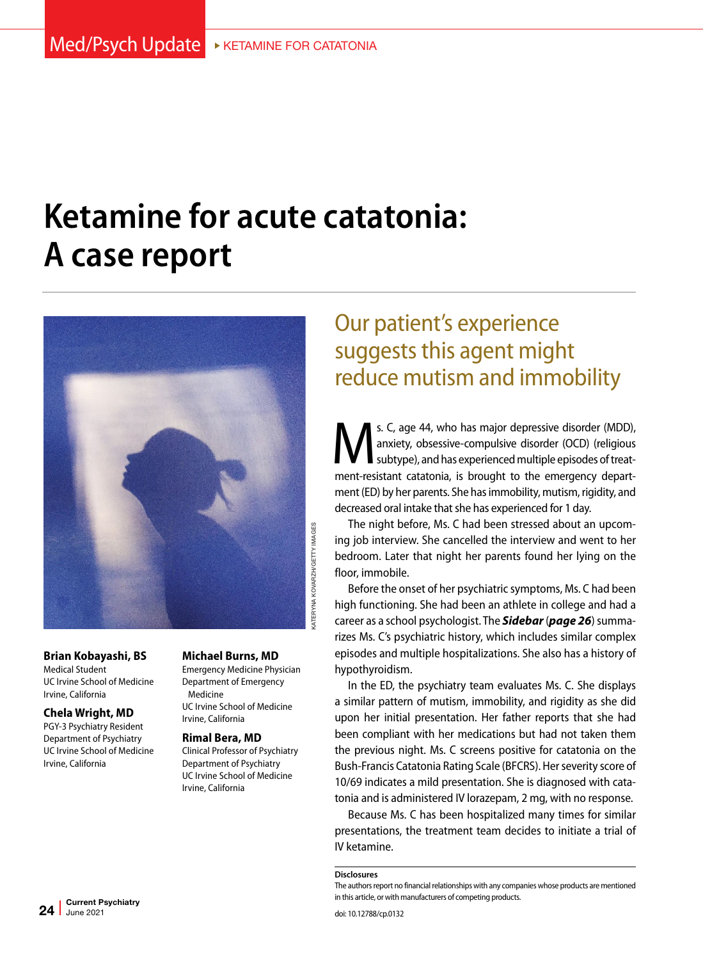# **Ketamine for acute catatonia: A case report**



**Brian Kobayashi, BS**  Medical Student UC Irvine School of Medicine Irvine, California

#### **Chela Wright, MD**

PGY-3 Psychiatry Resident Department of Psychiatry UC Irvine School of Medicine Irvine, California

#### **Michael Burns, MD**

Emergency Medicine Physician Department of Emergency Medicine UC Irvine School of Medicine Irvine, California

#### **Rimal Bera, MD**

Clinical Professor of Psychiatry Department of Psychiatry UC Irvine School of Medicine Irvine, California

# Our patient's experience suggests this agent might reduce mutism and immobility

S. C, age 44, who has major depressive disorder (MDD), anxiety, obsessive-compulsive disorder (OCD) (religious subtype), and has experienced multiple episodes of treatanxiety, obsessive-compulsive disorder (OCD) (religious subtype), and has experienced multiple episodes of treatment-resistant catatonia, is brought to the emergency department (ED) by her parents. She has immobility, mutism, rigidity, and decreased oral intake that she has experienced for 1 day.

The night before, Ms. C had been stressed about an upcoming job interview. She cancelled the interview and went to her bedroom. Later that night her parents found her lying on the floor, immobile.

Before the onset of her psychiatric symptoms, Ms. C had been high functioning. She had been an athlete in college and had a career as a school psychologist. The *Sidebar* (*page 26*) summarizes Ms. C's psychiatric history, which includes similar complex episodes and multiple hospitalizations. She also has a history of hypothyroidism.

In the ED, the psychiatry team evaluates Ms. C. She displays a similar pattern of mutism, immobility, and rigidity as she did upon her initial presentation. Her father reports that she had been compliant with her medications but had not taken them the previous night. Ms. C screens positive for catatonia on the Bush-Francis Catatonia Rating Scale (BFCRS). Her severity score of 10/69 indicates a mild presentation. She is diagnosed with catatonia and is administered IV lorazepam, 2 mg, with no response.

Because Ms. C has been hospitalized many times for similar presentations, the treatment team decides to initiate a trial of IV ketamine.

**Disclosures**

The authors report no financial relationships with any companies whose products are mentioned in this article, or with manufacturers of competing products.

Current Psychiatry  $24$  June 2021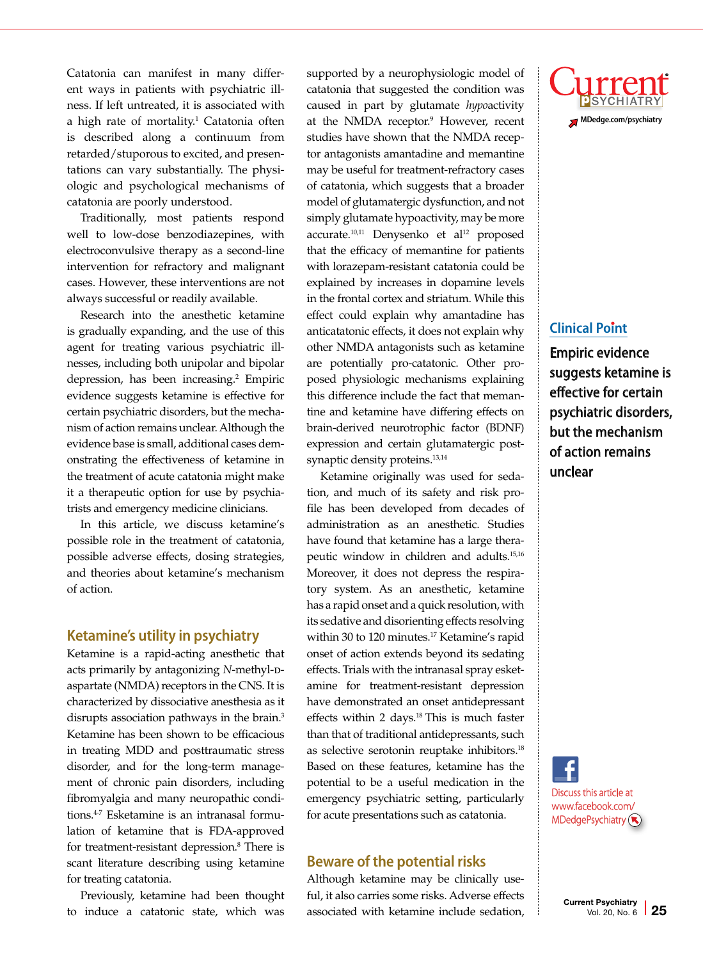Catatonia can manifest in many different ways in patients with psychiatric illness. If left untreated, it is associated with a high rate of mortality.<sup>1</sup> Catatonia often is described along a continuum from retarded/stuporous to excited, and presentations can vary substantially. The physiologic and psychological mechanisms of catatonia are poorly understood.

Traditionally, most patients respond well to low-dose benzodiazepines, with electroconvulsive therapy as a second-line intervention for refractory and malignant cases. However, these interventions are not always successful or readily available.

Research into the anesthetic ketamine is gradually expanding, and the use of this agent for treating various psychiatric illnesses, including both unipolar and bipolar depression, has been increasing.<sup>2</sup> Empiric evidence suggests ketamine is effective for certain psychiatric disorders, but the mechanism of action remains unclear. Although the evidence base is small, additional cases demonstrating the effectiveness of ketamine in the treatment of acute catatonia might make it a therapeutic option for use by psychiatrists and emergency medicine clinicians.

In this article, we discuss ketamine's possible role in the treatment of catatonia, possible adverse effects, dosing strategies, and theories about ketamine's mechanism of action.

#### **Ketamine's utility in psychiatry**

Ketamine is a rapid-acting anesthetic that acts primarily by antagonizing *N*-methyl-paspartate (NMDA) receptors in the CNS. It is characterized by dissociative anesthesia as it disrupts association pathways in the brain.<sup>3</sup> Ketamine has been shown to be efficacious in treating MDD and posttraumatic stress disorder, and for the long-term management of chronic pain disorders, including fibromyalgia and many neuropathic conditions.<sup>4-7</sup> Esketamine is an intranasal formulation of ketamine that is FDA-approved for treatment-resistant depression.<sup>8</sup> There is scant literature describing using ketamine for treating catatonia.

Previously, ketamine had been thought to induce a catatonic state, which was

supported by a neurophysiologic model of catatonia that suggested the condition was caused in part by glutamate *hypo*activity at the NMDA receptor.<sup>9</sup> However, recent studies have shown that the NMDA receptor antagonists amantadine and memantine may be useful for treatment-refractory cases of catatonia, which suggests that a broader model of glutamatergic dysfunction, and not simply glutamate hypoactivity, may be more accurate.<sup>10,11</sup> Denysenko et al<sup>12</sup> proposed that the efficacy of memantine for patients with lorazepam-resistant catatonia could be explained by increases in dopamine levels in the frontal cortex and striatum. While this effect could explain why amantadine has anticatatonic effects, it does not explain why other NMDA antagonists such as ketamine are potentially pro-catatonic. Other proposed physiologic mechanisms explaining this difference include the fact that memantine and ketamine have differing effects on brain-derived neurotrophic factor (BDNF) expression and certain glutamatergic postsynaptic density proteins.<sup>13,14</sup>

Ketamine originally was used for sedation, and much of its safety and risk profile has been developed from decades of administration as an anesthetic. Studies have found that ketamine has a large therapeutic window in children and adults.15,16 Moreover, it does not depress the respiratory system. As an anesthetic, ketamine has a rapid onset and a quick resolution, with its sedative and disorienting effects resolving within 30 to 120 minutes.<sup>17</sup> Ketamine's rapid onset of action extends beyond its sedating effects. Trials with the intranasal spray esketamine for treatment-resistant depression have demonstrated an onset antidepressant effects within 2 days.<sup>18</sup> This is much faster than that of traditional antidepressants, such as selective serotonin reuptake inhibitors.18 Based on these features, ketamine has the potential to be a useful medication in the emergency psychiatric setting, particularly for acute presentations such as catatonia.

#### **Beware of the potential risks**

Although ketamine may be clinically useful, it also carries some risks. Adverse effects associated with ketamine include sedation,



### **Clinical Point**

Empiric evidence suggests ketamine is effective for certain psychiatric disorders, but the mechanism of action remains unclear

Discuss this article at www.facebook.com/  $M$ DedgePsychiatry $(\mathbf{\overline{x}})$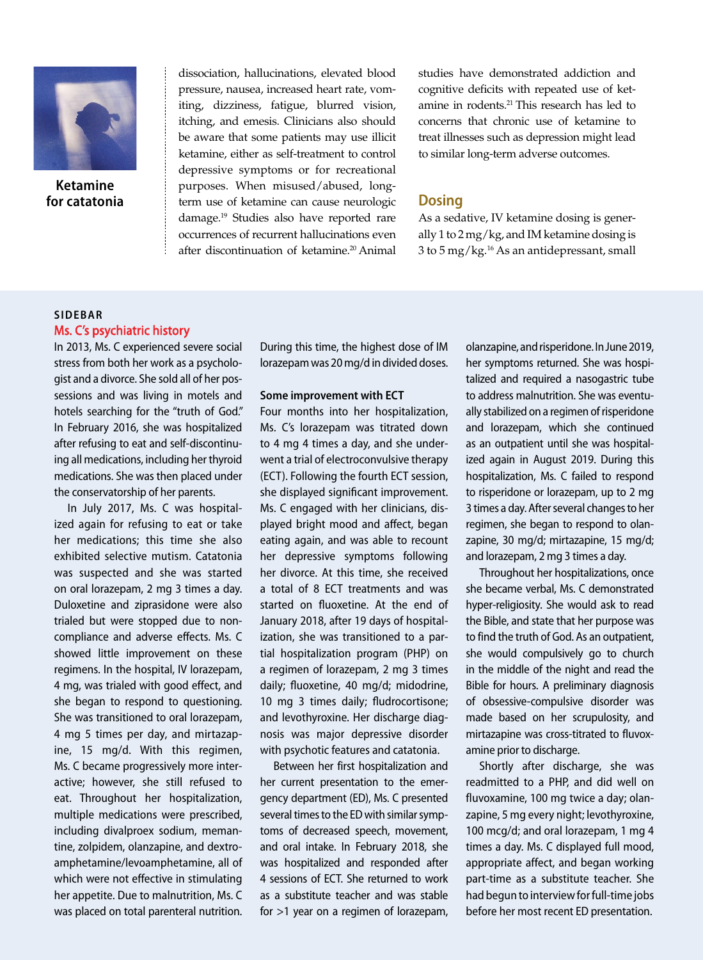

**Ketamine for catatonia** dissociation, hallucinations, elevated blood pressure, nausea, increased heart rate, vomiting, dizziness, fatigue, blurred vision, itching, and emesis. Clinicians also should be aware that some patients may use illicit ketamine, either as self-treatment to control depressive symptoms or for recreational purposes. When misused/abused, longterm use of ketamine can cause neurologic damage.19 Studies also have reported rare occurrences of recurrent hallucinations even after discontinuation of ketamine.20 Animal studies have demonstrated addiction and cognitive deficits with repeated use of ketamine in rodents.<sup>21</sup> This research has led to concerns that chronic use of ketamine to treat illnesses such as depression might lead to similar long-term adverse outcomes.

### **Dosing**

As a sedative, IV ketamine dosing is generally 1 to 2 mg/kg, and IM ketamine dosing is 3 to 5 mg/kg.16 As an antidepressant, small

#### **SIDEBAR** Ms. C's psychiatric history

In 2013, Ms. C experienced severe social stress from both her work as a psychologist and a divorce. She sold all of her possessions and was living in motels and hotels searching for the "truth of God." In February 2016, she was hospitalized after refusing to eat and self-discontinuing all medications, including her thyroid medications. She was then placed under the conservatorship of her parents.

In July 2017, Ms. C was hospitalized again for refusing to eat or take her medications; this time she also exhibited selective mutism. Catatonia was suspected and she was started on oral lorazepam, 2 mg 3 times a day. Duloxetine and ziprasidone were also trialed but were stopped due to noncompliance and adverse effects. Ms. C showed little improvement on these regimens. In the hospital, IV lorazepam, 4 mg, was trialed with good effect, and she began to respond to questioning. She was transitioned to oral lorazepam, 4 mg 5 times per day, and mirtazapine, 15 mg/d. With this regimen, Ms. C became progressively more interactive; however, she still refused to eat. Throughout her hospitalization, multiple medications were prescribed, including divalproex sodium, memantine, zolpidem, olanzapine, and dextroamphetamine/levoamphetamine, all of which were not effective in stimulating her appetite. Due to malnutrition, Ms. C was placed on total parenteral nutrition. During this time, the highest dose of IM lorazepam was 20 mg/d in divided doses.

#### **Some improvement with ECT**

Four months into her hospitalization, Ms. C's lorazepam was titrated down to 4 mg 4 times a day, and she underwent a trial of electroconvulsive therapy (ECT). Following the fourth ECT session, she displayed significant improvement. Ms. C engaged with her clinicians, displayed bright mood and affect, began eating again, and was able to recount her depressive symptoms following her divorce. At this time, she received a total of 8 ECT treatments and was started on fluoxetine. At the end of January 2018, after 19 days of hospitalization, she was transitioned to a partial hospitalization program (PHP) on a regimen of lorazepam, 2 mg 3 times daily; fluoxetine, 40 mg/d; midodrine, 10 mg 3 times daily; fludrocortisone; and levothyroxine. Her discharge diagnosis was major depressive disorder with psychotic features and catatonia.

Between her first hospitalization and her current presentation to the emergency department (ED), Ms. C presented several times to the ED with similar symptoms of decreased speech, movement, and oral intake. In February 2018, she was hospitalized and responded after 4 sessions of ECT. She returned to work as a substitute teacher and was stable for >1 year on a regimen of lorazepam, olanzapine, and risperidone. In June 2019, her symptoms returned. She was hospitalized and required a nasogastric tube to address malnutrition. She was eventually stabilized on a regimen of risperidone and lorazepam, which she continued as an outpatient until she was hospitalized again in August 2019. During this hospitalization, Ms. C failed to respond to risperidone or lorazepam, up to 2 mg 3 times a day. After several changes to her regimen, she began to respond to olanzapine, 30 mg/d; mirtazapine, 15 mg/d; and lorazepam, 2 mg 3 times a day.

Throughout her hospitalizations, once she became verbal, Ms. C demonstrated hyper-religiosity. She would ask to read the Bible, and state that her purpose was to find the truth of God. As an outpatient, she would compulsively go to church in the middle of the night and read the Bible for hours. A preliminary diagnosis of obsessive-compulsive disorder was made based on her scrupulosity, and mirtazapine was cross-titrated to fluvoxamine prior to discharge.

Shortly after discharge, she was readmitted to a PHP, and did well on fluvoxamine, 100 mg twice a day; olanzapine, 5 mg every night; levothyroxine, 100 mcg/d; and oral lorazepam, 1 mg 4 times a day. Ms. C displayed full mood, appropriate affect, and began working part-time as a substitute teacher. She had begun to interview for full-time jobs before her most recent ED presentation.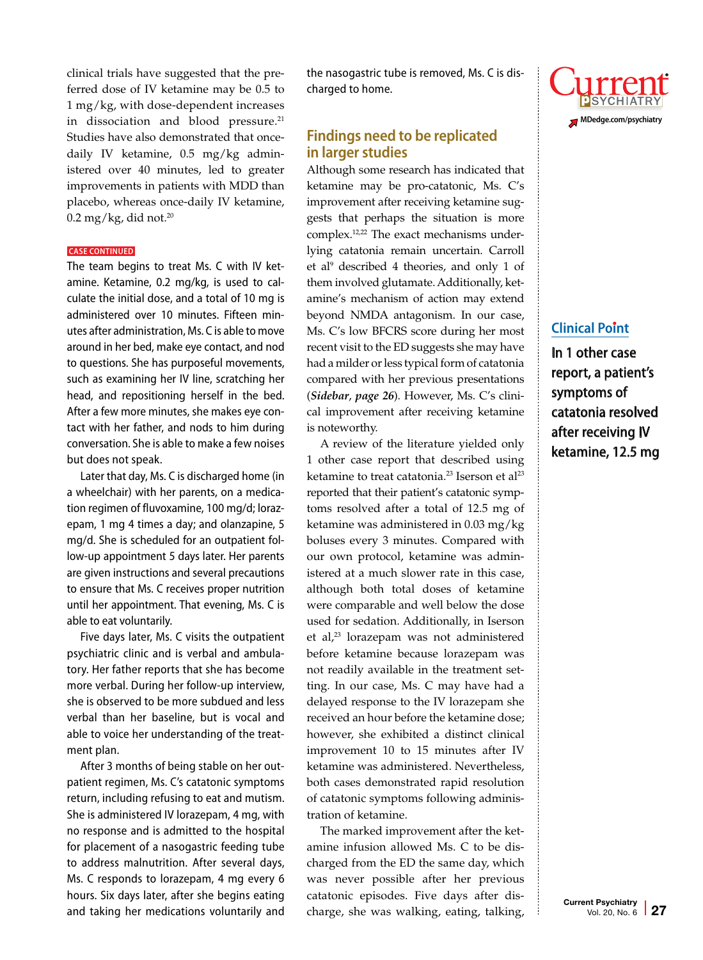clinical trials have suggested that the preferred dose of IV ketamine may be 0.5 to 1 mg/kg, with dose-dependent increases in dissociation and blood pressure.<sup>21</sup> Studies have also demonstrated that oncedaily IV ketamine, 0.5 mg/kg administered over 40 minutes, led to greater improvements in patients with MDD than placebo, whereas once-daily IV ketamine,  $0.2$  mg/kg, did not. $20$ 

#### **CASE CONTINUED**

The team begins to treat Ms. C with IV ketamine. Ketamine, 0.2 mg/kg, is used to calculate the initial dose, and a total of 10 mg is administered over 10 minutes. Fifteen minutes after administration, Ms. C is able to move around in her bed, make eye contact, and nod to questions. She has purposeful movements, such as examining her IV line, scratching her head, and repositioning herself in the bed. After a few more minutes, she makes eye contact with her father, and nods to him during conversation. She is able to make a few noises but does not speak.

Later that day, Ms. C is discharged home (in a wheelchair) with her parents, on a medication regimen of fluvoxamine, 100 mg/d; lorazepam, 1 mg 4 times a day; and olanzapine, 5 mg/d. She is scheduled for an outpatient follow-up appointment 5 days later. Her parents are given instructions and several precautions to ensure that Ms. C receives proper nutrition until her appointment. That evening, Ms. C is able to eat voluntarily.

Five days later, Ms. C visits the outpatient psychiatric clinic and is verbal and ambulatory. Her father reports that she has become more verbal. During her follow-up interview, she is observed to be more subdued and less verbal than her baseline, but is vocal and able to voice her understanding of the treatment plan.

After 3 months of being stable on her outpatient regimen, Ms. C's catatonic symptoms return, including refusing to eat and mutism. She is administered IV lorazepam, 4 mg, with no response and is admitted to the hospital for placement of a nasogastric feeding tube to address malnutrition. After several days, Ms. C responds to lorazepam, 4 mg every 6 hours. Six days later, after she begins eating and taking her medications voluntarily and the nasogastric tube is removed, Ms. C is discharged to home.

## **Findings need to be replicated in larger studies**

Although some research has indicated that ketamine may be pro-catatonic, Ms. C's improvement after receiving ketamine suggests that perhaps the situation is more complex.<sup>12,22</sup> The exact mechanisms underlying catatonia remain uncertain. Carroll et al<sup>9</sup> described 4 theories, and only 1 of them involved glutamate. Additionally, ketamine's mechanism of action may extend beyond NMDA antagonism. In our case, Ms. C's low BFCRS score during her most recent visit to the ED suggests she may have had a milder or less typical form of catatonia compared with her previous presentations (*Sidebar*, *page 26*). However, Ms. C's clinical improvement after receiving ketamine is noteworthy.

A review of the literature yielded only 1 other case report that described using ketamine to treat catatonia.<sup>23</sup> Iserson et al<sup>23</sup> reported that their patient's catatonic symptoms resolved after a total of 12.5 mg of ketamine was administered in 0.03 mg/kg boluses every 3 minutes. Compared with our own protocol, ketamine was administered at a much slower rate in this case, although both total doses of ketamine were comparable and well below the dose used for sedation. Additionally, in Iserson et al,<sup>23</sup> lorazepam was not administered before ketamine because lorazepam was not readily available in the treatment setting. In our case, Ms. C may have had a delayed response to the IV lorazepam she received an hour before the ketamine dose; however, she exhibited a distinct clinical improvement 10 to 15 minutes after IV ketamine was administered. Nevertheless, both cases demonstrated rapid resolution of catatonic symptoms following administration of ketamine.

The marked improvement after the ketamine infusion allowed Ms. C to be discharged from the ED the same day, which was never possible after her previous catatonic episodes. Five days after discharge, she was walking, eating, talking,



# **Clinical Point**

In 1 other case report, a patient's symptoms of catatonia resolved after receiving IV ketamine, 12.5 mg